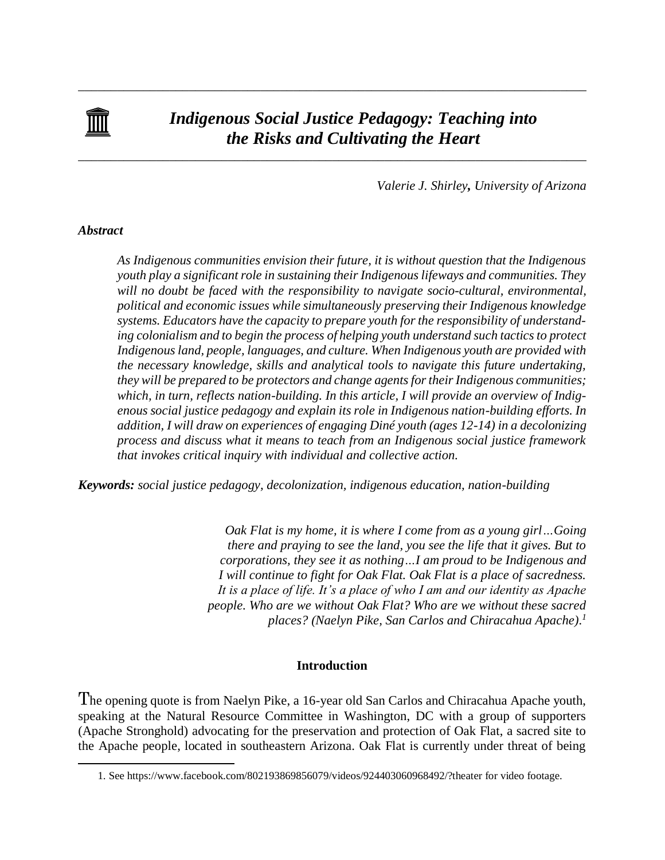

# *Indigenous Social Justice Pedagogy: Teaching into the Risks and Cultivating the Heart*

\_\_\_\_\_\_\_\_\_\_\_\_\_\_\_\_\_\_\_\_\_\_\_\_\_\_\_\_\_\_\_\_\_\_\_\_\_\_\_\_\_\_\_\_\_\_\_\_\_\_\_\_\_\_\_\_\_\_\_\_\_\_\_\_\_\_\_\_\_\_\_\_\_\_\_\_\_\_

\_\_\_\_\_\_\_\_\_\_\_\_\_\_\_\_\_\_\_\_\_\_\_\_\_\_\_\_\_\_\_\_\_\_\_\_\_\_\_\_\_\_\_\_\_\_\_\_\_\_\_\_\_\_\_\_\_\_\_\_\_\_\_\_\_\_\_\_\_\_\_\_\_\_\_\_\_\_

*Valerie J. Shirley, University of Arizona*

# *Abstract*

 $\overline{a}$ 

*As Indigenous communities envision their future, it is without question that the Indigenous youth play a significant role in sustaining their Indigenous lifeways and communities. They will no doubt be faced with the responsibility to navigate socio-cultural, environmental, political and economic issues while simultaneously preserving their Indigenous knowledge systems. Educators have the capacity to prepare youth for the responsibility of understanding colonialism and to begin the process of helping youth understand such tactics to protect Indigenous land, people, languages, and culture. When Indigenous youth are provided with the necessary knowledge, skills and analytical tools to navigate this future undertaking, they will be prepared to be protectors and change agents for their Indigenous communities; which, in turn, reflects nation-building. In this article, I will provide an overview of Indigenous social justice pedagogy and explain its role in Indigenous nation-building efforts. In addition, I will draw on experiences of engaging Diné youth (ages 12-14) in a decolonizing process and discuss what it means to teach from an Indigenous social justice framework that invokes critical inquiry with individual and collective action.*

*Keywords: social justice pedagogy, decolonization, indigenous education, nation-building*

*Oak Flat is my home, it is where I come from as a young girl…Going there and praying to see the land, you see the life that it gives. But to corporations, they see it as nothing…I am proud to be Indigenous and I will continue to fight for Oak Flat. Oak Flat is a place of sacredness. It is a place of life. It's a place of who I am and our identity as Apache people. Who are we without Oak Flat? Who are we without these sacred places? (Naelyn Pike, San Carlos and Chiracahua Apache). 1*

# **Introduction**

The opening quote is from Naelyn Pike, a 16-year old San Carlos and Chiracahua Apache youth, speaking at the Natural Resource Committee in Washington, DC with a group of supporters (Apache Stronghold) advocating for the preservation and protection of Oak Flat, a sacred site to the Apache people, located in southeastern Arizona. Oak Flat is currently under threat of being

<sup>1.</sup> See https://www.facebook.com/802193869856079/videos/924403060968492/?theater for video footage.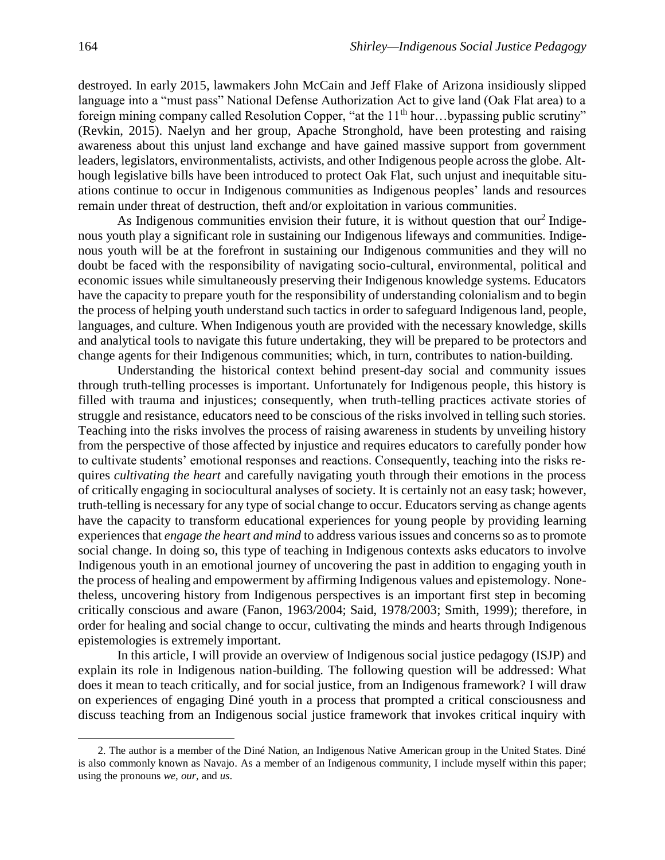destroyed. In early 2015, lawmakers John McCain and Jeff Flake of Arizona insidiously slipped language into a "must pass" National Defense Authorization Act to give land (Oak Flat area) to a foreign mining company called Resolution Copper, "at the  $11<sup>th</sup>$  hour...bypassing public scrutiny" (Revkin, 2015). Naelyn and her group, Apache Stronghold, have been protesting and raising awareness about this unjust land exchange and have gained massive support from government leaders, legislators, environmentalists, activists, and other Indigenous people across the globe. Although legislative bills have been introduced to protect Oak Flat, such unjust and inequitable situations continue to occur in Indigenous communities as Indigenous peoples' lands and resources remain under threat of destruction, theft and/or exploitation in various communities.

As Indigenous communities envision their future, it is without question that our<sup>2</sup> Indigenous youth play a significant role in sustaining our Indigenous lifeways and communities. Indigenous youth will be at the forefront in sustaining our Indigenous communities and they will no doubt be faced with the responsibility of navigating socio-cultural, environmental, political and economic issues while simultaneously preserving their Indigenous knowledge systems. Educators have the capacity to prepare youth for the responsibility of understanding colonialism and to begin the process of helping youth understand such tactics in order to safeguard Indigenous land, people, languages, and culture. When Indigenous youth are provided with the necessary knowledge, skills and analytical tools to navigate this future undertaking, they will be prepared to be protectors and change agents for their Indigenous communities; which, in turn, contributes to nation-building.

Understanding the historical context behind present-day social and community issues through truth-telling processes is important. Unfortunately for Indigenous people, this history is filled with trauma and injustices; consequently, when truth-telling practices activate stories of struggle and resistance, educators need to be conscious of the risks involved in telling such stories. Teaching into the risks involves the process of raising awareness in students by unveiling history from the perspective of those affected by injustice and requires educators to carefully ponder how to cultivate students' emotional responses and reactions. Consequently, teaching into the risks requires *cultivating the heart* and carefully navigating youth through their emotions in the process of critically engaging in sociocultural analyses of society. It is certainly not an easy task; however, truth-telling is necessary for any type of social change to occur. Educators serving as change agents have the capacity to transform educational experiences for young people by providing learning experiences that *engage the heart and mind* to address various issues and concerns so as to promote social change. In doing so, this type of teaching in Indigenous contexts asks educators to involve Indigenous youth in an emotional journey of uncovering the past in addition to engaging youth in the process of healing and empowerment by affirming Indigenous values and epistemology. Nonetheless, uncovering history from Indigenous perspectives is an important first step in becoming critically conscious and aware (Fanon, 1963/2004; Said, 1978/2003; Smith, 1999); therefore, in order for healing and social change to occur, cultivating the minds and hearts through Indigenous epistemologies is extremely important.

In this article, I will provide an overview of Indigenous social justice pedagogy (ISJP) and explain its role in Indigenous nation-building. The following question will be addressed: What does it mean to teach critically, and for social justice, from an Indigenous framework? I will draw on experiences of engaging Diné youth in a process that prompted a critical consciousness and discuss teaching from an Indigenous social justice framework that invokes critical inquiry with

 $\overline{a}$ 

<sup>2.</sup> The author is a member of the Diné Nation, an Indigenous Native American group in the United States. Diné is also commonly known as Navajo. As a member of an Indigenous community, I include myself within this paper; using the pronouns *we*, *our*, and *us*.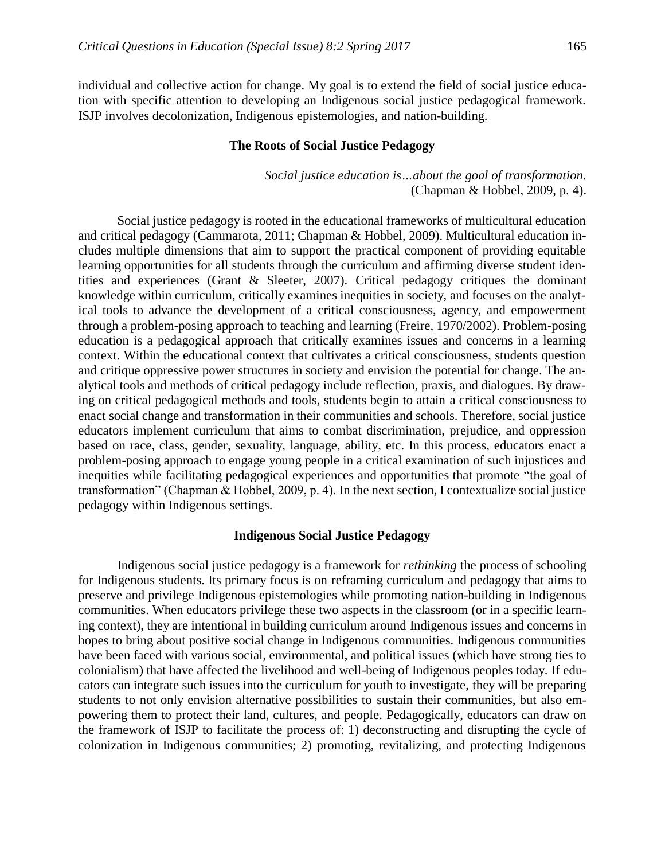individual and collective action for change. My goal is to extend the field of social justice education with specific attention to developing an Indigenous social justice pedagogical framework. ISJP involves decolonization, Indigenous epistemologies, and nation-building.

## **The Roots of Social Justice Pedagogy**

*Social justice education is…about the goal of transformation.* (Chapman & Hobbel, 2009, p. 4).

Social justice pedagogy is rooted in the educational frameworks of multicultural education and critical pedagogy (Cammarota, 2011; Chapman & Hobbel, 2009). Multicultural education includes multiple dimensions that aim to support the practical component of providing equitable learning opportunities for all students through the curriculum and affirming diverse student identities and experiences (Grant & Sleeter, 2007). Critical pedagogy critiques the dominant knowledge within curriculum, critically examines inequities in society, and focuses on the analytical tools to advance the development of a critical consciousness, agency, and empowerment through a problem-posing approach to teaching and learning (Freire, 1970/2002). Problem-posing education is a pedagogical approach that critically examines issues and concerns in a learning context. Within the educational context that cultivates a critical consciousness, students question and critique oppressive power structures in society and envision the potential for change. The analytical tools and methods of critical pedagogy include reflection, praxis, and dialogues. By drawing on critical pedagogical methods and tools, students begin to attain a critical consciousness to enact social change and transformation in their communities and schools. Therefore, social justice educators implement curriculum that aims to combat discrimination, prejudice, and oppression based on race, class, gender, sexuality, language, ability, etc. In this process, educators enact a problem-posing approach to engage young people in a critical examination of such injustices and inequities while facilitating pedagogical experiences and opportunities that promote "the goal of transformation" (Chapman & Hobbel, 2009, p. 4). In the next section, I contextualize social justice pedagogy within Indigenous settings.

#### **Indigenous Social Justice Pedagogy**

Indigenous social justice pedagogy is a framework for *rethinking* the process of schooling for Indigenous students. Its primary focus is on reframing curriculum and pedagogy that aims to preserve and privilege Indigenous epistemologies while promoting nation-building in Indigenous communities. When educators privilege these two aspects in the classroom (or in a specific learning context), they are intentional in building curriculum around Indigenous issues and concerns in hopes to bring about positive social change in Indigenous communities. Indigenous communities have been faced with various social, environmental, and political issues (which have strong ties to colonialism) that have affected the livelihood and well-being of Indigenous peoples today. If educators can integrate such issues into the curriculum for youth to investigate, they will be preparing students to not only envision alternative possibilities to sustain their communities, but also empowering them to protect their land, cultures, and people. Pedagogically, educators can draw on the framework of ISJP to facilitate the process of: 1) deconstructing and disrupting the cycle of colonization in Indigenous communities; 2) promoting, revitalizing, and protecting Indigenous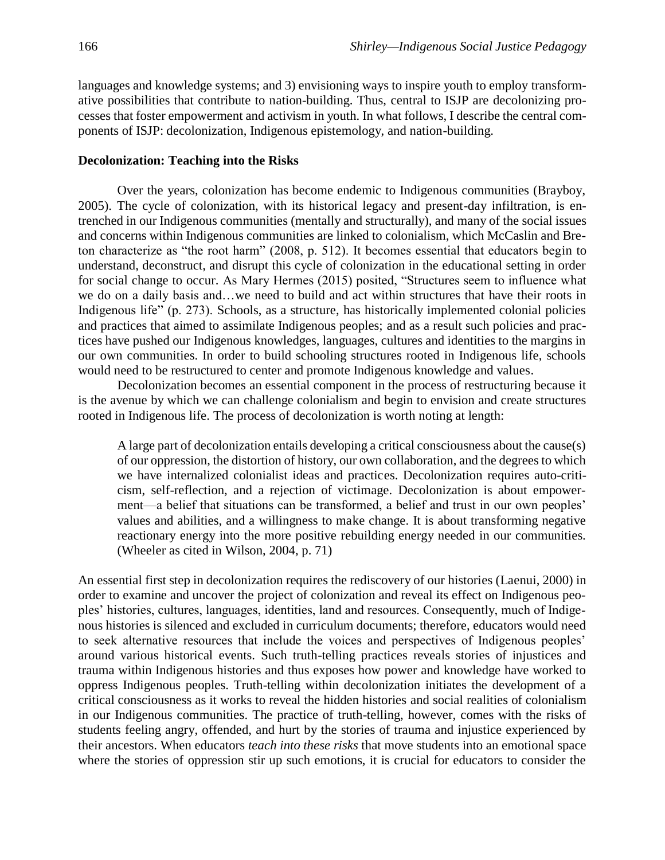languages and knowledge systems; and 3) envisioning ways to inspire youth to employ transformative possibilities that contribute to nation-building. Thus, central to ISJP are decolonizing processes that foster empowerment and activism in youth. In what follows, I describe the central components of ISJP: decolonization, Indigenous epistemology, and nation-building.

## **Decolonization: Teaching into the Risks**

Over the years, colonization has become endemic to Indigenous communities (Brayboy, 2005). The cycle of colonization, with its historical legacy and present-day infiltration, is entrenched in our Indigenous communities (mentally and structurally), and many of the social issues and concerns within Indigenous communities are linked to colonialism, which McCaslin and Breton characterize as "the root harm" (2008, p. 512). It becomes essential that educators begin to understand, deconstruct, and disrupt this cycle of colonization in the educational setting in order for social change to occur. As Mary Hermes (2015) posited, "Structures seem to influence what we do on a daily basis and…we need to build and act within structures that have their roots in Indigenous life" (p. 273). Schools, as a structure, has historically implemented colonial policies and practices that aimed to assimilate Indigenous peoples; and as a result such policies and practices have pushed our Indigenous knowledges, languages, cultures and identities to the margins in our own communities. In order to build schooling structures rooted in Indigenous life, schools would need to be restructured to center and promote Indigenous knowledge and values.

Decolonization becomes an essential component in the process of restructuring because it is the avenue by which we can challenge colonialism and begin to envision and create structures rooted in Indigenous life. The process of decolonization is worth noting at length:

A large part of decolonization entails developing a critical consciousness about the cause(s) of our oppression, the distortion of history, our own collaboration, and the degrees to which we have internalized colonialist ideas and practices. Decolonization requires auto-criticism, self-reflection, and a rejection of victimage. Decolonization is about empowerment—a belief that situations can be transformed, a belief and trust in our own peoples' values and abilities, and a willingness to make change. It is about transforming negative reactionary energy into the more positive rebuilding energy needed in our communities. (Wheeler as cited in Wilson, 2004, p. 71)

An essential first step in decolonization requires the rediscovery of our histories (Laenui, 2000) in order to examine and uncover the project of colonization and reveal its effect on Indigenous peoples' histories, cultures, languages, identities, land and resources. Consequently, much of Indigenous histories is silenced and excluded in curriculum documents; therefore, educators would need to seek alternative resources that include the voices and perspectives of Indigenous peoples' around various historical events. Such truth-telling practices reveals stories of injustices and trauma within Indigenous histories and thus exposes how power and knowledge have worked to oppress Indigenous peoples. Truth-telling within decolonization initiates the development of a critical consciousness as it works to reveal the hidden histories and social realities of colonialism in our Indigenous communities. The practice of truth-telling, however, comes with the risks of students feeling angry, offended, and hurt by the stories of trauma and injustice experienced by their ancestors. When educators *teach into these risks* that move students into an emotional space where the stories of oppression stir up such emotions, it is crucial for educators to consider the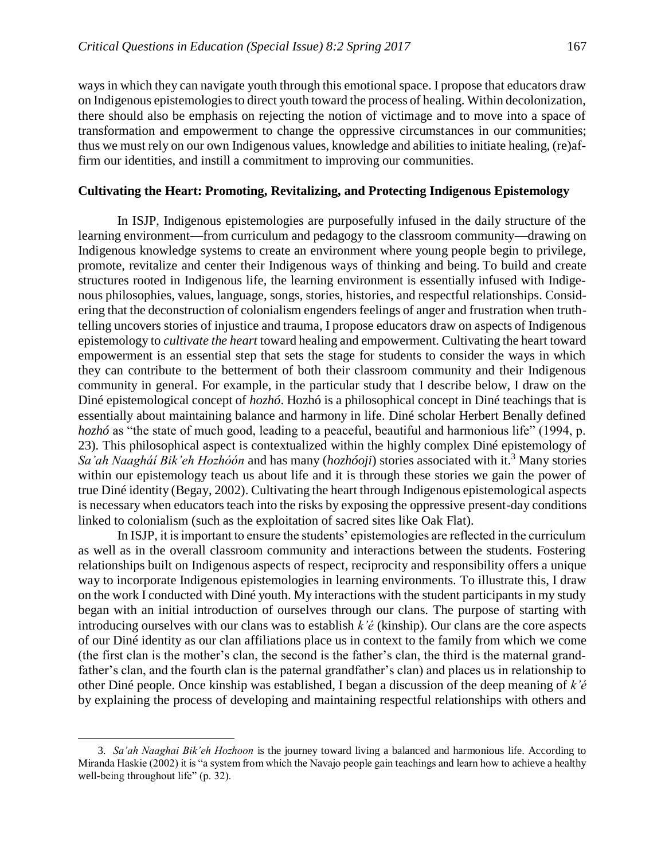ways in which they can navigate youth through this emotional space. I propose that educators draw on Indigenous epistemologies to direct youth toward the process of healing. Within decolonization, there should also be emphasis on rejecting the notion of victimage and to move into a space of transformation and empowerment to change the oppressive circumstances in our communities; thus we must rely on our own Indigenous values, knowledge and abilities to initiate healing, (re)affirm our identities, and instill a commitment to improving our communities.

## **Cultivating the Heart: Promoting, Revitalizing, and Protecting Indigenous Epistemology**

In ISJP, Indigenous epistemologies are purposefully infused in the daily structure of the learning environment—from curriculum and pedagogy to the classroom community—drawing on Indigenous knowledge systems to create an environment where young people begin to privilege, promote, revitalize and center their Indigenous ways of thinking and being. To build and create structures rooted in Indigenous life, the learning environment is essentially infused with Indigenous philosophies, values, language, songs, stories, histories, and respectful relationships. Considering that the deconstruction of colonialism engenders feelings of anger and frustration when truthtelling uncovers stories of injustice and trauma, I propose educators draw on aspects of Indigenous epistemology to *cultivate the heart* toward healing and empowerment. Cultivating the heart toward empowerment is an essential step that sets the stage for students to consider the ways in which they can contribute to the betterment of both their classroom community and their Indigenous community in general. For example, in the particular study that I describe below, I draw on the Diné epistemological concept of *hozhó*. Hozhó is a philosophical concept in Diné teachings that is essentially about maintaining balance and harmony in life. Diné scholar Herbert Benally defined *hozhó* as "the state of much good, leading to a peaceful, beautiful and harmonious life" (1994, p. 23). This philosophical aspect is contextualized within the highly complex Diné epistemology of *Sa'ah Naagháí Bik'eh Hozhóón* and has many (*hozhóoji*) stories associated with it.<sup>3</sup> Many stories within our epistemology teach us about life and it is through these stories we gain the power of true Diné identity (Begay, 2002). Cultivating the heart through Indigenous epistemological aspects is necessary when educators teach into the risks by exposing the oppressive present-day conditions linked to colonialism (such as the exploitation of sacred sites like Oak Flat).

In ISJP, it is important to ensure the students' epistemologies are reflected in the curriculum as well as in the overall classroom community and interactions between the students. Fostering relationships built on Indigenous aspects of respect, reciprocity and responsibility offers a unique way to incorporate Indigenous epistemologies in learning environments. To illustrate this, I draw on the work I conducted with Diné youth. My interactions with the student participants in my study began with an initial introduction of ourselves through our clans. The purpose of starting with introducing ourselves with our clans was to establish *k'é* (kinship). Our clans are the core aspects of our Diné identity as our clan affiliations place us in context to the family from which we come (the first clan is the mother's clan, the second is the father's clan, the third is the maternal grandfather's clan, and the fourth clan is the paternal grandfather's clan) and places us in relationship to other Diné people. Once kinship was established, I began a discussion of the deep meaning of *k'é* by explaining the process of developing and maintaining respectful relationships with others and

 $\overline{a}$ 

<sup>3.</sup> *Sa'ah Naaghai Bik'eh Hozhoon* is the journey toward living a balanced and harmonious life. According to Miranda Haskie (2002) it is "a system from which the Navajo people gain teachings and learn how to achieve a healthy well-being throughout life" (p. 32).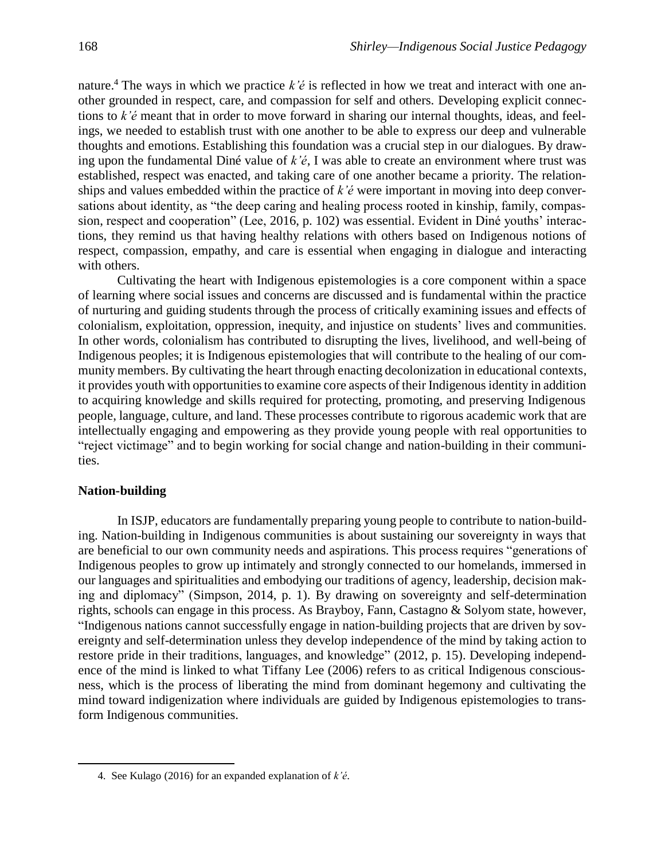nature. <sup>4</sup> The ways in which we practice *k'é* is reflected in how we treat and interact with one another grounded in respect, care, and compassion for self and others. Developing explicit connections to *k'é* meant that in order to move forward in sharing our internal thoughts, ideas, and feelings, we needed to establish trust with one another to be able to express our deep and vulnerable thoughts and emotions. Establishing this foundation was a crucial step in our dialogues. By drawing upon the fundamental Diné value of *k'é*, I was able to create an environment where trust was established, respect was enacted, and taking care of one another became a priority. The relationships and values embedded within the practice of *k'é* were important in moving into deep conversations about identity, as "the deep caring and healing process rooted in kinship, family, compassion, respect and cooperation" (Lee, 2016, p. 102) was essential. Evident in Diné youths' interactions, they remind us that having healthy relations with others based on Indigenous notions of respect, compassion, empathy, and care is essential when engaging in dialogue and interacting with others.

Cultivating the heart with Indigenous epistemologies is a core component within a space of learning where social issues and concerns are discussed and is fundamental within the practice of nurturing and guiding students through the process of critically examining issues and effects of colonialism, exploitation, oppression, inequity, and injustice on students' lives and communities. In other words, colonialism has contributed to disrupting the lives, livelihood, and well-being of Indigenous peoples; it is Indigenous epistemologies that will contribute to the healing of our community members. By cultivating the heart through enacting decolonization in educational contexts, it provides youth with opportunities to examine core aspects of their Indigenous identity in addition to acquiring knowledge and skills required for protecting, promoting, and preserving Indigenous people, language, culture, and land. These processes contribute to rigorous academic work that are intellectually engaging and empowering as they provide young people with real opportunities to "reject victimage" and to begin working for social change and nation-building in their communities.

# **Nation-building**

 $\overline{a}$ 

In ISJP, educators are fundamentally preparing young people to contribute to nation-building. Nation-building in Indigenous communities is about sustaining our sovereignty in ways that are beneficial to our own community needs and aspirations. This process requires "generations of Indigenous peoples to grow up intimately and strongly connected to our homelands, immersed in our languages and spiritualities and embodying our traditions of agency, leadership, decision making and diplomacy" (Simpson, 2014, p. 1). By drawing on sovereignty and self-determination rights, schools can engage in this process. As Brayboy, Fann, Castagno & Solyom state, however, "Indigenous nations cannot successfully engage in nation-building projects that are driven by sovereignty and self-determination unless they develop independence of the mind by taking action to restore pride in their traditions, languages, and knowledge" (2012, p. 15). Developing independence of the mind is linked to what Tiffany Lee (2006) refers to as critical Indigenous consciousness, which is the process of liberating the mind from dominant hegemony and cultivating the mind toward indigenization where individuals are guided by Indigenous epistemologies to transform Indigenous communities.

<sup>4.</sup> See Kulago (2016) for an expanded explanation of *k'é*.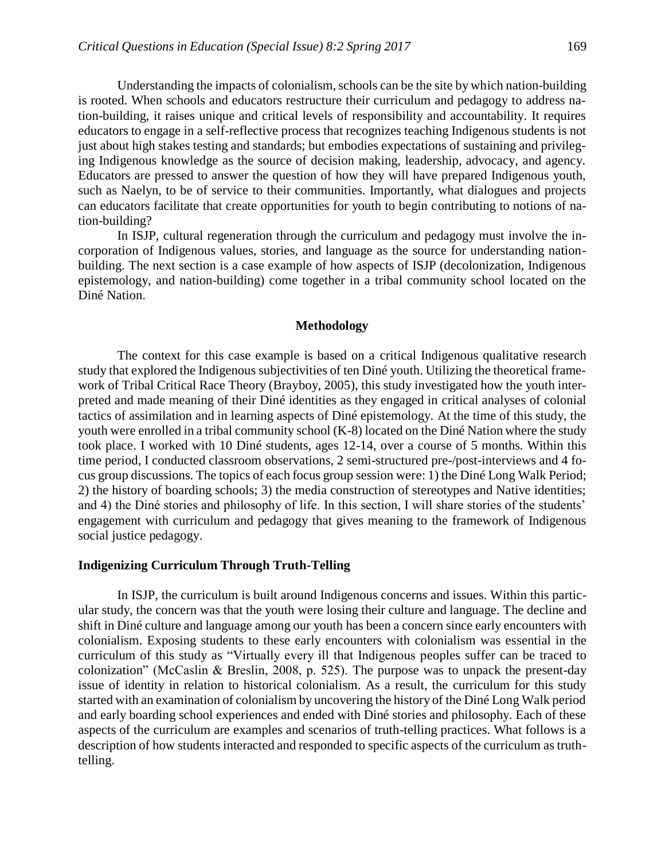Understanding the impacts of colonialism, schools can be the site by which nation-building is rooted. When schools and educators restructure their curriculum and pedagogy to address nation-building, it raises unique and critical levels of responsibility and accountability. It requires educators to engage in a self-reflective process that recognizes teaching Indigenous students is not just about high stakes testing and standards; but embodies expectations of sustaining and privileging Indigenous knowledge as the source of decision making, leadership, advocacy, and agency. Educators are pressed to answer the question of how they will have prepared Indigenous youth, such as Naelyn, to be of service to their communities. Importantly, what dialogues and projects can educators facilitate that create opportunities for youth to begin contributing to notions of nation-building?

In ISJP, cultural regeneration through the curriculum and pedagogy must involve the incorporation of Indigenous values, stories, and language as the source for understanding nationbuilding. The next section is a case example of how aspects of ISJP (decolonization, Indigenous epistemology, and nation-building) come together in a tribal community school located on the Diné Nation.

#### **Methodology**

The context for this case example is based on a critical Indigenous qualitative research study that explored the Indigenous subjectivities of ten Diné youth. Utilizing the theoretical framework of Tribal Critical Race Theory (Brayboy, 2005), this study investigated how the youth interpreted and made meaning of their Diné identities as they engaged in critical analyses of colonial tactics of assimilation and in learning aspects of Diné epistemology. At the time of this study, the youth were enrolled in a tribal community school (K-8) located on the Diné Nation where the study took place. I worked with 10 Diné students, ages 12-14, over a course of 5 months. Within this time period, I conducted classroom observations, 2 semi-structured pre-/post-interviews and 4 focus group discussions. The topics of each focus group session were: 1) the Diné Long Walk Period; 2) the history of boarding schools; 3) the media construction of stereotypes and Native identities; and 4) the Diné stories and philosophy of life. In this section, I will share stories of the students' engagement with curriculum and pedagogy that gives meaning to the framework of Indigenous social justice pedagogy.

#### **Indigenizing Curriculum Through Truth-Telling**

In ISJP, the curriculum is built around Indigenous concerns and issues. Within this particular study, the concern was that the youth were losing their culture and language. The decline and shift in Diné culture and language among our youth has been a concern since early encounters with colonialism. Exposing students to these early encounters with colonialism was essential in the curriculum of this study as "Virtually every ill that Indigenous peoples suffer can be traced to colonization" (McCaslin & Breslin, 2008, p. 525). The purpose was to unpack the present-day issue of identity in relation to historical colonialism. As a result, the curriculum for this study started with an examination of colonialism by uncovering the history of the Diné Long Walk period and early boarding school experiences and ended with Diné stories and philosophy. Each of these aspects of the curriculum are examples and scenarios of truth-telling practices. What follows is a description of how students interacted and responded to specific aspects of the curriculum as truthtelling.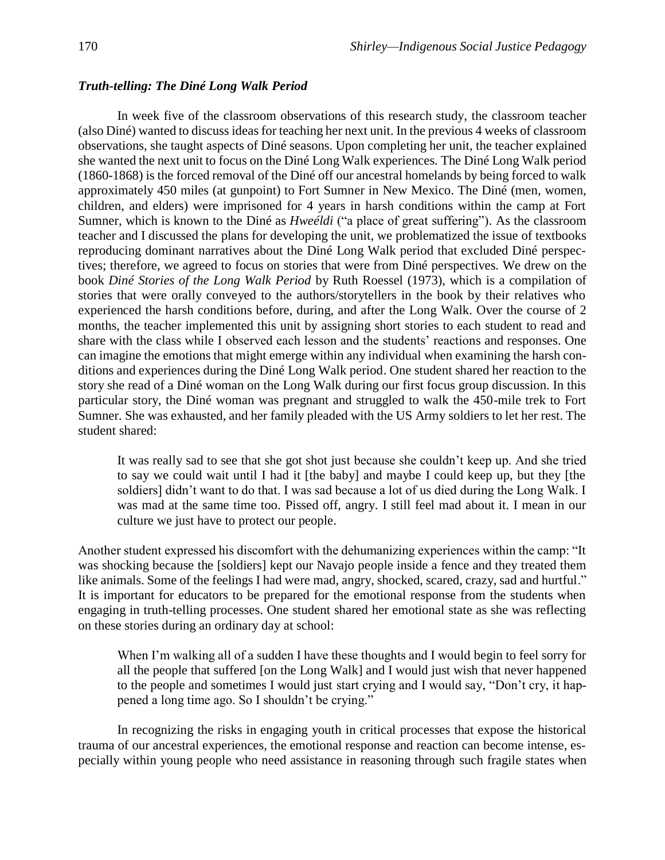# *Truth-telling: The Diné Long Walk Period*

In week five of the classroom observations of this research study, the classroom teacher (also Diné) wanted to discuss ideas for teaching her next unit. In the previous 4 weeks of classroom observations, she taught aspects of Diné seasons. Upon completing her unit, the teacher explained she wanted the next unit to focus on the Diné Long Walk experiences. The Diné Long Walk period (1860-1868) is the forced removal of the Diné off our ancestral homelands by being forced to walk approximately 450 miles (at gunpoint) to Fort Sumner in New Mexico. The Diné (men, women, children, and elders) were imprisoned for 4 years in harsh conditions within the camp at Fort Sumner, which is known to the Diné as *Hweéldi* ("a place of great suffering"). As the classroom teacher and I discussed the plans for developing the unit, we problematized the issue of textbooks reproducing dominant narratives about the Diné Long Walk period that excluded Diné perspectives; therefore, we agreed to focus on stories that were from Diné perspectives. We drew on the book *Diné Stories of the Long Walk Period* by Ruth Roessel (1973), which is a compilation of stories that were orally conveyed to the authors/storytellers in the book by their relatives who experienced the harsh conditions before, during, and after the Long Walk. Over the course of 2 months, the teacher implemented this unit by assigning short stories to each student to read and share with the class while I observed each lesson and the students' reactions and responses. One can imagine the emotions that might emerge within any individual when examining the harsh conditions and experiences during the Diné Long Walk period. One student shared her reaction to the story she read of a Diné woman on the Long Walk during our first focus group discussion. In this particular story, the Diné woman was pregnant and struggled to walk the 450-mile trek to Fort Sumner. She was exhausted, and her family pleaded with the US Army soldiers to let her rest. The student shared:

It was really sad to see that she got shot just because she couldn't keep up. And she tried to say we could wait until I had it [the baby] and maybe I could keep up, but they [the soldiers] didn't want to do that. I was sad because a lot of us died during the Long Walk. I was mad at the same time too. Pissed off, angry. I still feel mad about it. I mean in our culture we just have to protect our people.

Another student expressed his discomfort with the dehumanizing experiences within the camp: "It was shocking because the [soldiers] kept our Navajo people inside a fence and they treated them like animals. Some of the feelings I had were mad, angry, shocked, scared, crazy, sad and hurtful." It is important for educators to be prepared for the emotional response from the students when engaging in truth-telling processes. One student shared her emotional state as she was reflecting on these stories during an ordinary day at school:

When I'm walking all of a sudden I have these thoughts and I would begin to feel sorry for all the people that suffered [on the Long Walk] and I would just wish that never happened to the people and sometimes I would just start crying and I would say, "Don't cry, it happened a long time ago. So I shouldn't be crying."

In recognizing the risks in engaging youth in critical processes that expose the historical trauma of our ancestral experiences, the emotional response and reaction can become intense, especially within young people who need assistance in reasoning through such fragile states when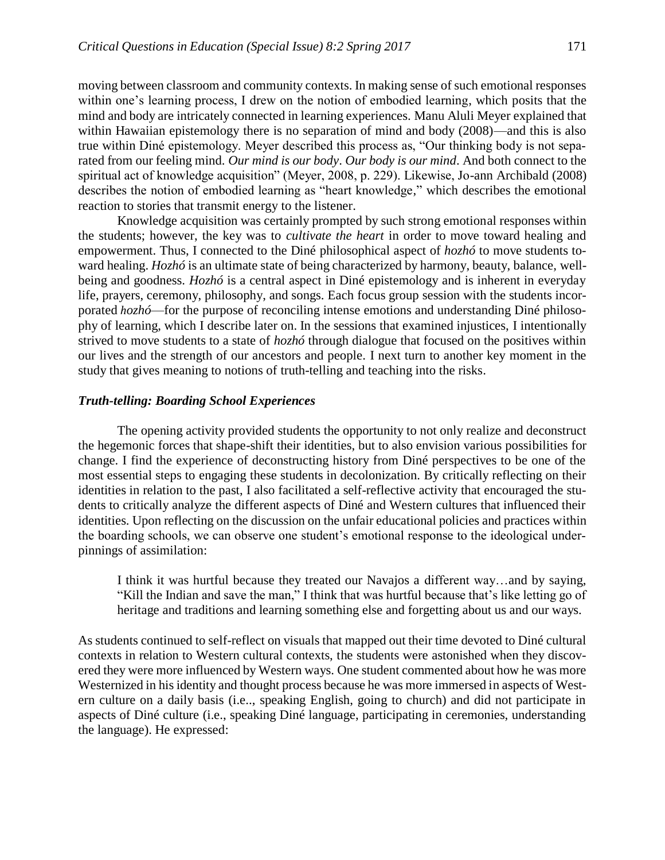moving between classroom and community contexts. In making sense of such emotional responses within one's learning process, I drew on the notion of embodied learning, which posits that the mind and body are intricately connected in learning experiences. Manu Aluli Meyer explained that within Hawaiian epistemology there is no separation of mind and body (2008)—and this is also true within Diné epistemology. Meyer described this process as, "Our thinking body is not separated from our feeling mind. *Our mind is our body*. *Our body is our mind*. And both connect to the spiritual act of knowledge acquisition" (Meyer, 2008, p. 229). Likewise, Jo-ann Archibald (2008) describes the notion of embodied learning as "heart knowledge," which describes the emotional reaction to stories that transmit energy to the listener.

Knowledge acquisition was certainly prompted by such strong emotional responses within the students; however, the key was to *cultivate the heart* in order to move toward healing and empowerment. Thus, I connected to the Diné philosophical aspect of *hozhó* to move students toward healing. *Hozhó* is an ultimate state of being characterized by harmony, beauty, balance, wellbeing and goodness. *Hozhó* is a central aspect in Diné epistemology and is inherent in everyday life, prayers, ceremony, philosophy, and songs. Each focus group session with the students incorporated *hozhó*—for the purpose of reconciling intense emotions and understanding Diné philosophy of learning, which I describe later on. In the sessions that examined injustices, I intentionally strived to move students to a state of *hozhó* through dialogue that focused on the positives within our lives and the strength of our ancestors and people. I next turn to another key moment in the study that gives meaning to notions of truth-telling and teaching into the risks.

# *Truth-telling: Boarding School Experiences*

The opening activity provided students the opportunity to not only realize and deconstruct the hegemonic forces that shape-shift their identities, but to also envision various possibilities for change. I find the experience of deconstructing history from Diné perspectives to be one of the most essential steps to engaging these students in decolonization. By critically reflecting on their identities in relation to the past, I also facilitated a self-reflective activity that encouraged the students to critically analyze the different aspects of Diné and Western cultures that influenced their identities. Upon reflecting on the discussion on the unfair educational policies and practices within the boarding schools, we can observe one student's emotional response to the ideological underpinnings of assimilation:

I think it was hurtful because they treated our Navajos a different way…and by saying, "Kill the Indian and save the man," I think that was hurtful because that's like letting go of heritage and traditions and learning something else and forgetting about us and our ways.

As students continued to self-reflect on visuals that mapped out their time devoted to Diné cultural contexts in relation to Western cultural contexts, the students were astonished when they discovered they were more influenced by Western ways. One student commented about how he was more Westernized in his identity and thought process because he was more immersed in aspects of Western culture on a daily basis (i.e.., speaking English, going to church) and did not participate in aspects of Diné culture (i.e., speaking Diné language, participating in ceremonies, understanding the language). He expressed: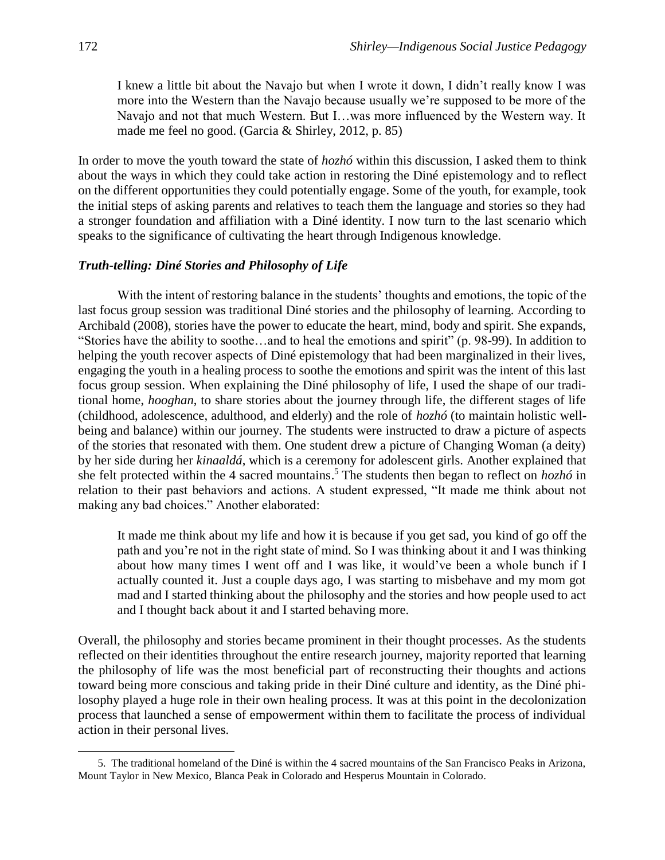I knew a little bit about the Navajo but when I wrote it down, I didn't really know I was more into the Western than the Navajo because usually we're supposed to be more of the Navajo and not that much Western. But I…was more influenced by the Western way. It made me feel no good. (Garcia & Shirley, 2012, p. 85)

In order to move the youth toward the state of *hozhó* within this discussion, I asked them to think about the ways in which they could take action in restoring the Diné epistemology and to reflect on the different opportunities they could potentially engage. Some of the youth, for example, took the initial steps of asking parents and relatives to teach them the language and stories so they had a stronger foundation and affiliation with a Diné identity. I now turn to the last scenario which speaks to the significance of cultivating the heart through Indigenous knowledge.

# *Truth-telling: Diné Stories and Philosophy of Life*

With the intent of restoring balance in the students' thoughts and emotions, the topic of the last focus group session was traditional Diné stories and the philosophy of learning. According to Archibald (2008), stories have the power to educate the heart, mind, body and spirit. She expands, "Stories have the ability to soothe…and to heal the emotions and spirit" (p. 98-99). In addition to helping the youth recover aspects of Diné epistemology that had been marginalized in their lives, engaging the youth in a healing process to soothe the emotions and spirit was the intent of this last focus group session. When explaining the Diné philosophy of life, I used the shape of our traditional home, *hooghan*, to share stories about the journey through life, the different stages of life (childhood, adolescence, adulthood, and elderly) and the role of *hozhó* (to maintain holistic wellbeing and balance) within our journey. The students were instructed to draw a picture of aspects of the stories that resonated with them. One student drew a picture of Changing Woman (a deity) by her side during her *kinaaldá*, which is a ceremony for adolescent girls. Another explained that she felt protected within the 4 sacred mountains. <sup>5</sup> The students then began to reflect on *hozhó* in relation to their past behaviors and actions. A student expressed, "It made me think about not making any bad choices." Another elaborated:

It made me think about my life and how it is because if you get sad, you kind of go off the path and you're not in the right state of mind. So I was thinking about it and I was thinking about how many times I went off and I was like, it would've been a whole bunch if I actually counted it. Just a couple days ago, I was starting to misbehave and my mom got mad and I started thinking about the philosophy and the stories and how people used to act and I thought back about it and I started behaving more.

Overall, the philosophy and stories became prominent in their thought processes. As the students reflected on their identities throughout the entire research journey, majority reported that learning the philosophy of life was the most beneficial part of reconstructing their thoughts and actions toward being more conscious and taking pride in their Diné culture and identity, as the Diné philosophy played a huge role in their own healing process. It was at this point in the decolonization process that launched a sense of empowerment within them to facilitate the process of individual action in their personal lives.

 $\overline{a}$ 

<sup>5.</sup> The traditional homeland of the Diné is within the 4 sacred mountains of the San Francisco Peaks in Arizona, Mount Taylor in New Mexico, Blanca Peak in Colorado and Hesperus Mountain in Colorado.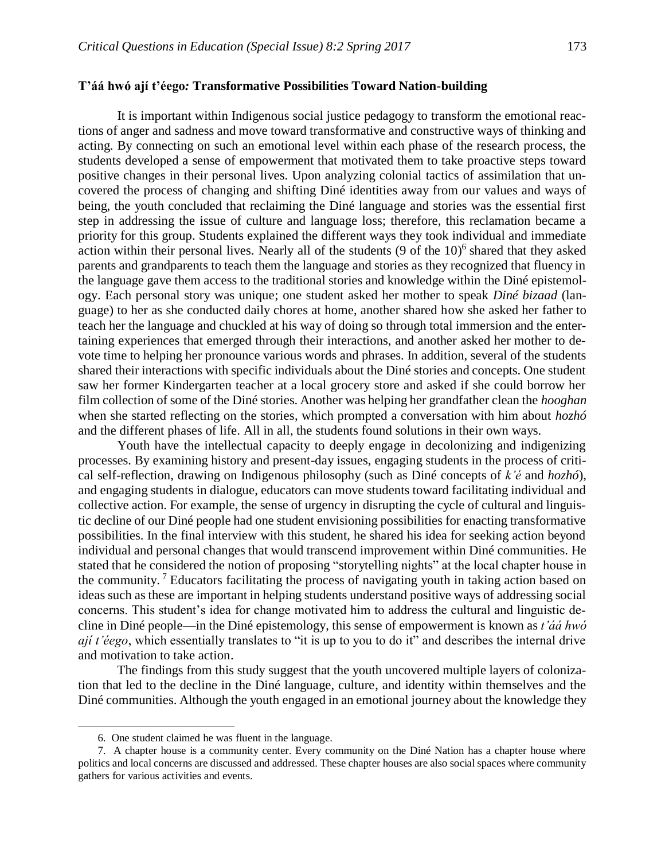## **T'áá hwó ají t'éego***:* **Transformative Possibilities Toward Nation-building**

It is important within Indigenous social justice pedagogy to transform the emotional reactions of anger and sadness and move toward transformative and constructive ways of thinking and acting. By connecting on such an emotional level within each phase of the research process, the students developed a sense of empowerment that motivated them to take proactive steps toward positive changes in their personal lives. Upon analyzing colonial tactics of assimilation that uncovered the process of changing and shifting Diné identities away from our values and ways of being, the youth concluded that reclaiming the Diné language and stories was the essential first step in addressing the issue of culture and language loss; therefore, this reclamation became a priority for this group. Students explained the different ways they took individual and immediate action within their personal lives. Nearly all of the students  $(9 \text{ of the } 10)^6$  shared that they asked parents and grandparents to teach them the language and stories as they recognized that fluency in the language gave them access to the traditional stories and knowledge within the Diné epistemology. Each personal story was unique; one student asked her mother to speak *Diné bizaad* (language) to her as she conducted daily chores at home, another shared how she asked her father to teach her the language and chuckled at his way of doing so through total immersion and the entertaining experiences that emerged through their interactions, and another asked her mother to devote time to helping her pronounce various words and phrases. In addition, several of the students shared their interactions with specific individuals about the Diné stories and concepts. One student saw her former Kindergarten teacher at a local grocery store and asked if she could borrow her film collection of some of the Diné stories. Another was helping her grandfather clean the *hooghan* when she started reflecting on the stories, which prompted a conversation with him about *hozhó* and the different phases of life. All in all, the students found solutions in their own ways.

Youth have the intellectual capacity to deeply engage in decolonizing and indigenizing processes. By examining history and present-day issues, engaging students in the process of critical self-reflection, drawing on Indigenous philosophy (such as Diné concepts of *k'é* and *hozhó*), and engaging students in dialogue, educators can move students toward facilitating individual and collective action. For example, the sense of urgency in disrupting the cycle of cultural and linguistic decline of our Diné people had one student envisioning possibilities for enacting transformative possibilities. In the final interview with this student, he shared his idea for seeking action beyond individual and personal changes that would transcend improvement within Diné communities. He stated that he considered the notion of proposing "storytelling nights" at the local chapter house in the community. <sup>7</sup> Educators facilitating the process of navigating youth in taking action based on ideas such as these are important in helping students understand positive ways of addressing social concerns. This student's idea for change motivated him to address the cultural and linguistic decline in Diné people—in the Diné epistemology, this sense of empowerment is known as *t'áá hwó ají t'éego*, which essentially translates to "it is up to you to do it" and describes the internal drive and motivation to take action.

The findings from this study suggest that the youth uncovered multiple layers of colonization that led to the decline in the Diné language, culture, and identity within themselves and the Diné communities. Although the youth engaged in an emotional journey about the knowledge they

l

<sup>6.</sup> One student claimed he was fluent in the language.

<sup>7.</sup> A chapter house is a community center. Every community on the Diné Nation has a chapter house where politics and local concerns are discussed and addressed. These chapter houses are also social spaces where community gathers for various activities and events.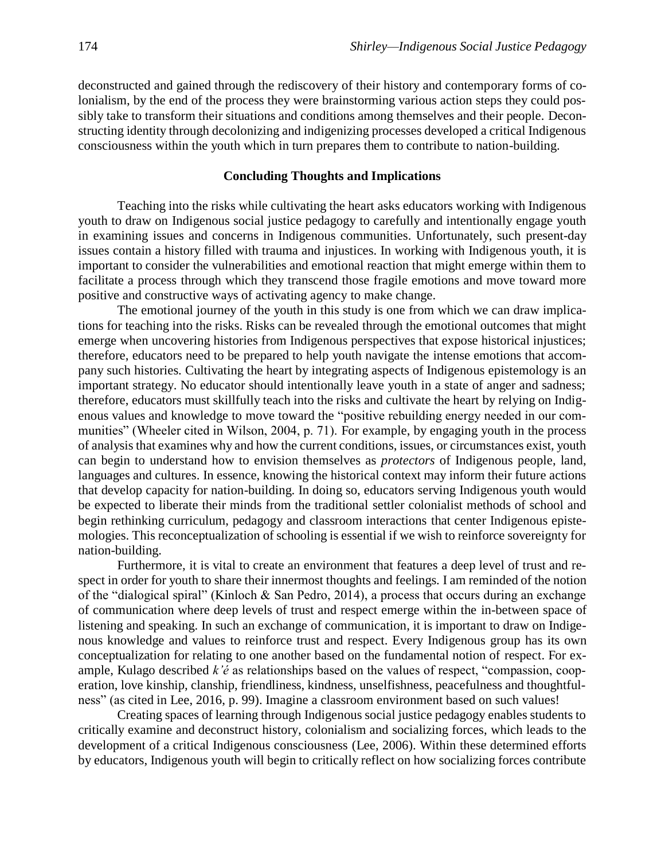deconstructed and gained through the rediscovery of their history and contemporary forms of colonialism, by the end of the process they were brainstorming various action steps they could possibly take to transform their situations and conditions among themselves and their people. Deconstructing identity through decolonizing and indigenizing processes developed a critical Indigenous consciousness within the youth which in turn prepares them to contribute to nation-building.

## **Concluding Thoughts and Implications**

Teaching into the risks while cultivating the heart asks educators working with Indigenous youth to draw on Indigenous social justice pedagogy to carefully and intentionally engage youth in examining issues and concerns in Indigenous communities. Unfortunately, such present-day issues contain a history filled with trauma and injustices. In working with Indigenous youth, it is important to consider the vulnerabilities and emotional reaction that might emerge within them to facilitate a process through which they transcend those fragile emotions and move toward more positive and constructive ways of activating agency to make change.

The emotional journey of the youth in this study is one from which we can draw implications for teaching into the risks. Risks can be revealed through the emotional outcomes that might emerge when uncovering histories from Indigenous perspectives that expose historical injustices; therefore, educators need to be prepared to help youth navigate the intense emotions that accompany such histories. Cultivating the heart by integrating aspects of Indigenous epistemology is an important strategy. No educator should intentionally leave youth in a state of anger and sadness; therefore, educators must skillfully teach into the risks and cultivate the heart by relying on Indigenous values and knowledge to move toward the "positive rebuilding energy needed in our communities" (Wheeler cited in Wilson, 2004, p. 71). For example, by engaging youth in the process of analysis that examines why and how the current conditions, issues, or circumstances exist, youth can begin to understand how to envision themselves as *protectors* of Indigenous people, land, languages and cultures. In essence, knowing the historical context may inform their future actions that develop capacity for nation-building. In doing so, educators serving Indigenous youth would be expected to liberate their minds from the traditional settler colonialist methods of school and begin rethinking curriculum, pedagogy and classroom interactions that center Indigenous epistemologies. This reconceptualization of schooling is essential if we wish to reinforce sovereignty for nation-building.

Furthermore, it is vital to create an environment that features a deep level of trust and respect in order for youth to share their innermost thoughts and feelings. I am reminded of the notion of the "dialogical spiral" (Kinloch & San Pedro, 2014), a process that occurs during an exchange of communication where deep levels of trust and respect emerge within the in-between space of listening and speaking. In such an exchange of communication, it is important to draw on Indigenous knowledge and values to reinforce trust and respect. Every Indigenous group has its own conceptualization for relating to one another based on the fundamental notion of respect. For example, Kulago described *k'é* as relationships based on the values of respect, "compassion, cooperation, love kinship, clanship, friendliness, kindness, unselfishness, peacefulness and thoughtfulness" (as cited in Lee, 2016, p. 99). Imagine a classroom environment based on such values!

Creating spaces of learning through Indigenous social justice pedagogy enables students to critically examine and deconstruct history, colonialism and socializing forces, which leads to the development of a critical Indigenous consciousness (Lee, 2006). Within these determined efforts by educators, Indigenous youth will begin to critically reflect on how socializing forces contribute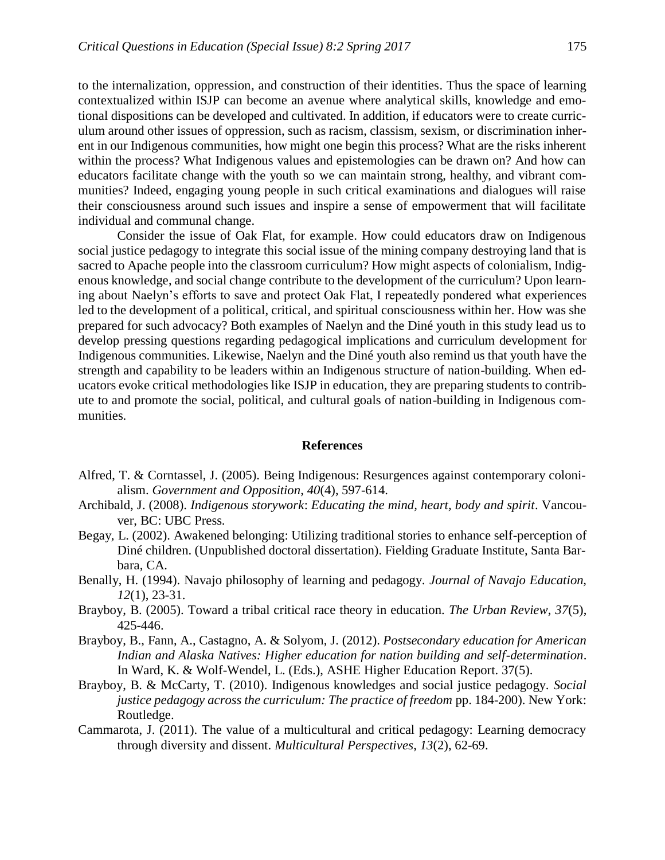to the internalization, oppression, and construction of their identities. Thus the space of learning contextualized within ISJP can become an avenue where analytical skills, knowledge and emotional dispositions can be developed and cultivated. In addition, if educators were to create curriculum around other issues of oppression, such as racism, classism, sexism, or discrimination inherent in our Indigenous communities, how might one begin this process? What are the risks inherent within the process? What Indigenous values and epistemologies can be drawn on? And how can educators facilitate change with the youth so we can maintain strong, healthy, and vibrant communities? Indeed, engaging young people in such critical examinations and dialogues will raise their consciousness around such issues and inspire a sense of empowerment that will facilitate individual and communal change.

Consider the issue of Oak Flat, for example. How could educators draw on Indigenous social justice pedagogy to integrate this social issue of the mining company destroying land that is sacred to Apache people into the classroom curriculum? How might aspects of colonialism, Indigenous knowledge, and social change contribute to the development of the curriculum? Upon learning about Naelyn's efforts to save and protect Oak Flat, I repeatedly pondered what experiences led to the development of a political, critical, and spiritual consciousness within her. How was she prepared for such advocacy? Both examples of Naelyn and the Diné youth in this study lead us to develop pressing questions regarding pedagogical implications and curriculum development for Indigenous communities. Likewise, Naelyn and the Diné youth also remind us that youth have the strength and capability to be leaders within an Indigenous structure of nation-building. When educators evoke critical methodologies like ISJP in education, they are preparing students to contribute to and promote the social, political, and cultural goals of nation-building in Indigenous communities.

#### **References**

- Alfred, T. & Corntassel, J. (2005). Being Indigenous: Resurgences against contemporary colonialism. *Government and Opposition*, *40*(4), 597-614.
- Archibald, J. (2008). *Indigenous storywork*: *Educating the mind, heart, body and spirit*. Vancouver, BC: UBC Press.
- Begay, L. (2002). Awakened belonging: Utilizing traditional stories to enhance self-perception of Diné children. (Unpublished doctoral dissertation). Fielding Graduate Institute, Santa Barbara, CA.
- Benally, H. (1994). Navajo philosophy of learning and pedagogy. *Journal of Navajo Education, 12*(1), 23-31.
- Brayboy, B. (2005). Toward a tribal critical race theory in education. *The Urban Review*, *37*(5), 425-446.
- Brayboy, B., Fann, A., Castagno, A. & Solyom, J. (2012). *Postsecondary education for American Indian and Alaska Natives: Higher education for nation building and self-determination*. In Ward, K. & Wolf-Wendel, L. (Eds.), ASHE Higher Education Report. 37(5).
- Brayboy, B. & McCarty, T. (2010). Indigenous knowledges and social justice pedagogy. *Social justice pedagogy across the curriculum: The practice of freedom* pp. 184-200). New York: Routledge.
- Cammarota, J. (2011). The value of a multicultural and critical pedagogy: Learning democracy through diversity and dissent. *Multicultural Perspectives*, *13*(2), 62-69.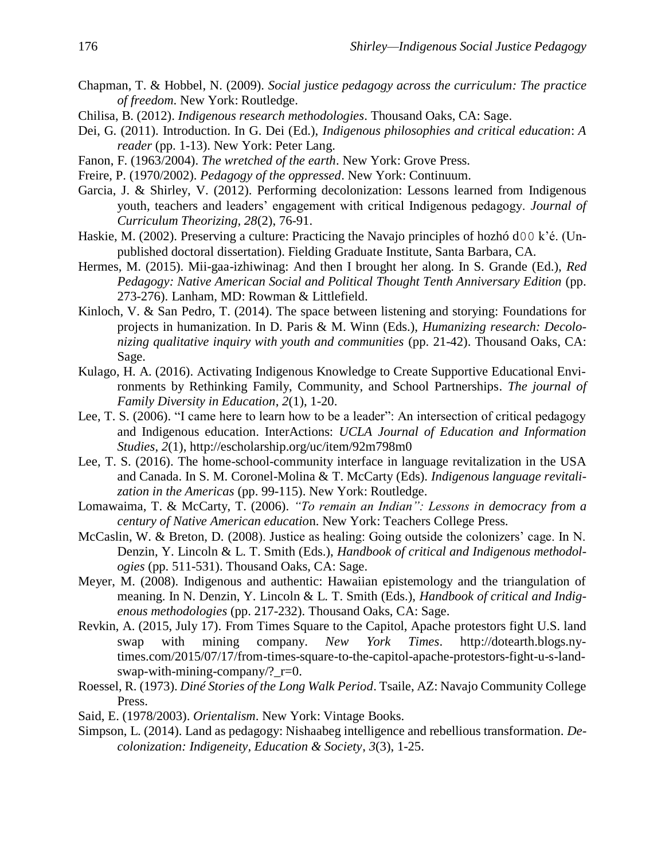- Chapman, T. & Hobbel, N. (2009). *Social justice pedagogy across the curriculum: The practice of freedom*. New York: Routledge.
- Chilisa, B. (2012). *Indigenous research methodologies*. Thousand Oaks, CA: Sage.
- Dei, G. (2011). Introduction. In G. Dei (Ed.), *Indigenous philosophies and critical education*: *A reader* (pp. 1-13). New York: Peter Lang.
- Fanon, F. (1963/2004). *The wretched of the earth*. New York: Grove Press.
- Freire, P. (1970/2002). *Pedagogy of the oppressed*. New York: Continuum.
- Garcia, J. & Shirley, V. (2012). Performing decolonization: Lessons learned from Indigenous youth, teachers and leaders' engagement with critical Indigenous pedagogy. *Journal of Curriculum Theorizing, 28*(2), 76-91.
- Haskie, M. (2002). Preserving a culture: Practicing the Navajo principles of hozhó d00 k'é. (Unpublished doctoral dissertation). Fielding Graduate Institute, Santa Barbara, CA.
- Hermes, M. (2015). Mii-gaa-izhiwinag: And then I brought her along. In S. Grande (Ed.), *Red Pedagogy: Native American Social and Political Thought Tenth Anniversary Edition* (pp. 273-276). Lanham, MD: Rowman & Littlefield.
- Kinloch, V. & San Pedro, T. (2014). The space between listening and storying: Foundations for projects in humanization. In D. Paris & M. Winn (Eds.), *Humanizing research: Decolonizing qualitative inquiry with youth and communities* (pp. 21-42). Thousand Oaks, CA: Sage.
- Kulago, H. A. (2016). Activating Indigenous Knowledge to Create Supportive Educational Environments by Rethinking Family, Community, and School Partnerships. *The journal of Family Diversity in Education*, *2*(1), 1-20.
- Lee, T. S. (2006). "I came here to learn how to be a leader": An intersection of critical pedagogy and Indigenous education. InterActions: *UCLA Journal of Education and Information Studies*, *2*(1), http://escholarship.org/uc/item/92m798m0
- Lee, T. S. (2016). The home-school-community interface in language revitalization in the USA and Canada. In S. M. Coronel-Molina & T. McCarty (Eds). *Indigenous language revitalization in the Americas* (pp. 99-115). New York: Routledge.
- Lomawaima, T. & McCarty, T. (2006). *"To remain an Indian": Lessons in democracy from a century of Native American educatio*n. New York: Teachers College Press.
- McCaslin, W. & Breton, D. (2008). Justice as healing: Going outside the colonizers' cage. In N. Denzin, Y. Lincoln & L. T. Smith (Eds.), *Handbook of critical and Indigenous methodologies* (pp. 511-531). Thousand Oaks, CA: Sage.
- Meyer, M. (2008). Indigenous and authentic: Hawaiian epistemology and the triangulation of meaning. In N. Denzin, Y. Lincoln & L. T. Smith (Eds.), *Handbook of critical and Indigenous methodologies* (pp. 217-232). Thousand Oaks, CA: Sage.
- Revkin, A. (2015, July 17). From Times Square to the Capitol, Apache protestors fight U.S. land swap with mining company. *New York Times*. http://dotearth.blogs.nytimes.com/2015/07/17/from-times-square-to-the-capitol-apache-protestors-fight-u-s-landswap-with-mining-company/?\_r=0.
- Roessel, R. (1973). *Diné Stories of the Long Walk Period*. Tsaile, AZ: Navajo Community College Press.
- Said, E. (1978/2003). *Orientalism*. New York: Vintage Books.
- Simpson, L. (2014). Land as pedagogy: Nishaabeg intelligence and rebellious transformation. *Decolonization: Indigeneity, Education & Society*, *3*(3), 1-25.